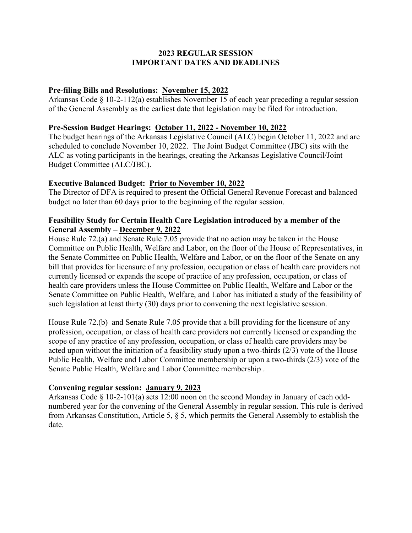# **2023 REGULAR SESSION IMPORTANT DATES AND DEADLINES**

# **Pre-filing Bills and Resolutions: November 15, 2022**

Arkansas Code § 10-2-112(a) establishes November 15 of each year preceding a regular session of the General Assembly as the earliest date that legislation may be filed for introduction.

### **Pre-Session Budget Hearings: October 11, 2022 - November 10, 2022**

The budget hearings of the Arkansas Legislative Council (ALC) begin October 11, 2022 and are scheduled to conclude November 10, 2022. The Joint Budget Committee (JBC) sits with the ALC as voting participants in the hearings, creating the Arkansas Legislative Council/Joint Budget Committee (ALC/JBC).

### **Executive Balanced Budget: Prior to November 10, 2022**

The Director of DFA is required to present the Official General Revenue Forecast and balanced budget no later than 60 days prior to the beginning of the regular session.

### **Feasibility Study for Certain Health Care Legislation introduced by a member of the General Assembly – December 9, 2022**

House Rule 72.(a) and Senate Rule 7.05 provide that no action may be taken in the House Committee on Public Health, Welfare and Labor, on the floor of the House of Representatives, in the Senate Committee on Public Health, Welfare and Labor, or on the floor of the Senate on any bill that provides for licensure of any profession, occupation or class of health care providers not currently licensed or expands the scope of practice of any profession, occupation, or class of health care providers unless the House Committee on Public Health, Welfare and Labor or the Senate Committee on Public Health, Welfare, and Labor has initiated a study of the feasibility of such legislation at least thirty (30) days prior to convening the next legislative session.

House Rule 72.(b) and Senate Rule 7.05 provide that a bill providing for the licensure of any profession, occupation, or class of health care providers not currently licensed or expanding the scope of any practice of any profession, occupation, or class of health care providers may be acted upon without the initiation of a feasibility study upon a two-thirds (2/3) vote of the House Public Health, Welfare and Labor Committee membership or upon a two-thirds (2/3) vote of the Senate Public Health, Welfare and Labor Committee membership .

### **Convening regular session: January 9, 2023**

Arkansas Code § 10-2-101(a) sets 12:00 noon on the second Monday in January of each oddnumbered year for the convening of the General Assembly in regular session. This rule is derived from Arkansas Constitution, Article 5, § 5, which permits the General Assembly to establish the date.